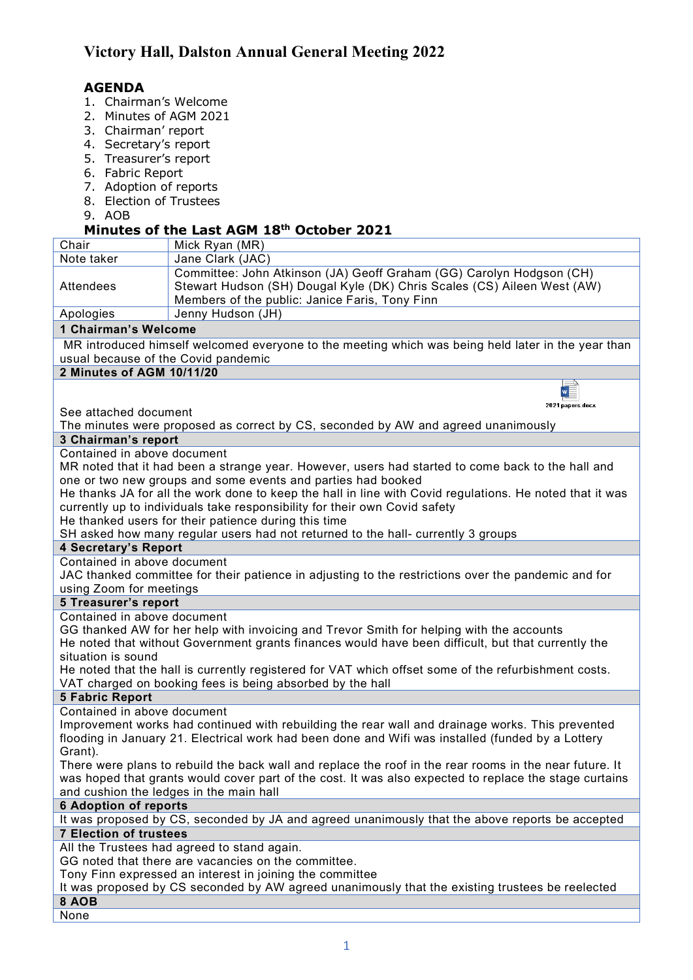## **AGENDA**

- 1. Chairman's Welcome
- 2. Minutes of AGM 2021
- 3. Chairman' report
- 4. Secretary's report
- 5. Treasurer's report
- 6. Fabric Report
- 7. Adoption of reports
- 8. Election of Trustees
- 9. AOB

### **Minutes of the Last AGM 18th October 2021**

|                                                                                                          | PIIIULES VI LIIE LASL ASPI 10<br>ULLUDCI ŁUŁJ                           |
|----------------------------------------------------------------------------------------------------------|-------------------------------------------------------------------------|
| Chair                                                                                                    | Mick Ryan (MR)                                                          |
| Note taker                                                                                               | Jane Clark (JAC)                                                        |
|                                                                                                          | Committee: John Atkinson (JA) Geoff Graham (GG) Carolyn Hodgson (CH)    |
| Attendees                                                                                                | Stewart Hudson (SH) Dougal Kyle (DK) Chris Scales (CS) Aileen West (AW) |
|                                                                                                          | Members of the public: Janice Faris, Tony Finn                          |
| Apologies                                                                                                | Jenny Hudson (JH)                                                       |
| 1 Chairman's Welcome                                                                                     |                                                                         |
| MR introduced himself welcomed everyone to the meeting which was being held later in the year than       |                                                                         |
| usual because of the Covid pandemic                                                                      |                                                                         |
| 2 Minutes of AGM 10/11/20                                                                                |                                                                         |
|                                                                                                          |                                                                         |
|                                                                                                          | 2021 papers.docx                                                        |
| See attached document                                                                                    |                                                                         |
| The minutes were proposed as correct by CS, seconded by AW and agreed unanimously                        |                                                                         |
| 3 Chairman's report                                                                                      |                                                                         |
| Contained in above document                                                                              |                                                                         |
| MR noted that it had been a strange year. However, users had started to come back to the hall and        |                                                                         |
| one or two new groups and some events and parties had booked                                             |                                                                         |
| He thanks JA for all the work done to keep the hall in line with Covid regulations. He noted that it was |                                                                         |
| currently up to individuals take responsibility for their own Covid safety                               |                                                                         |
| He thanked users for their patience during this time                                                     |                                                                         |
| SH asked how many regular users had not returned to the hall- currently 3 groups                         |                                                                         |
| <b>4 Secretary's Report</b>                                                                              |                                                                         |
| Contained in above document                                                                              |                                                                         |
| JAC thanked committee for their patience in adjusting to the restrictions over the pandemic and for      |                                                                         |
| using Zoom for meetings                                                                                  |                                                                         |
| <b>5 Treasurer's report</b>                                                                              |                                                                         |
| Contained in above document                                                                              |                                                                         |
| GG thanked AW for her help with invoicing and Trevor Smith for helping with the accounts                 |                                                                         |
| He noted that without Government grants finances would have been difficult, but that currently the       |                                                                         |
| situation is sound                                                                                       |                                                                         |
| He noted that the hall is currently registered for VAT which offset some of the refurbishment costs.     |                                                                         |
| VAT charged on booking fees is being absorbed by the hall                                                |                                                                         |
| <b>5 Fabric Report</b>                                                                                   |                                                                         |
| Contained in above document                                                                              |                                                                         |
| Improvement works had continued with rebuilding the rear wall and drainage works. This prevented         |                                                                         |
| flooding in January 21. Electrical work had been done and Wifi was installed (funded by a Lottery        |                                                                         |
| Grant).                                                                                                  |                                                                         |
| There were plans to rebuild the back wall and replace the roof in the rear rooms in the near future. It  |                                                                         |
| was hoped that grants would cover part of the cost. It was also expected to replace the stage curtains   |                                                                         |
| and cushion the ledges in the main hall                                                                  |                                                                         |
| <b>6 Adoption of reports</b>                                                                             |                                                                         |
| It was proposed by CS, seconded by JA and agreed unanimously that the above reports be accepted          |                                                                         |
|                                                                                                          |                                                                         |
| <b>7 Election of trustees</b>                                                                            |                                                                         |
| All the Trustees had agreed to stand again.                                                              |                                                                         |
| GG noted that there are vacancies on the committee.                                                      |                                                                         |
| Tony Finn expressed an interest in joining the committee                                                 |                                                                         |
| It was proposed by CS seconded by AW agreed unanimously that the existing trustees be reelected          |                                                                         |
| 8 AOB                                                                                                    |                                                                         |

**None**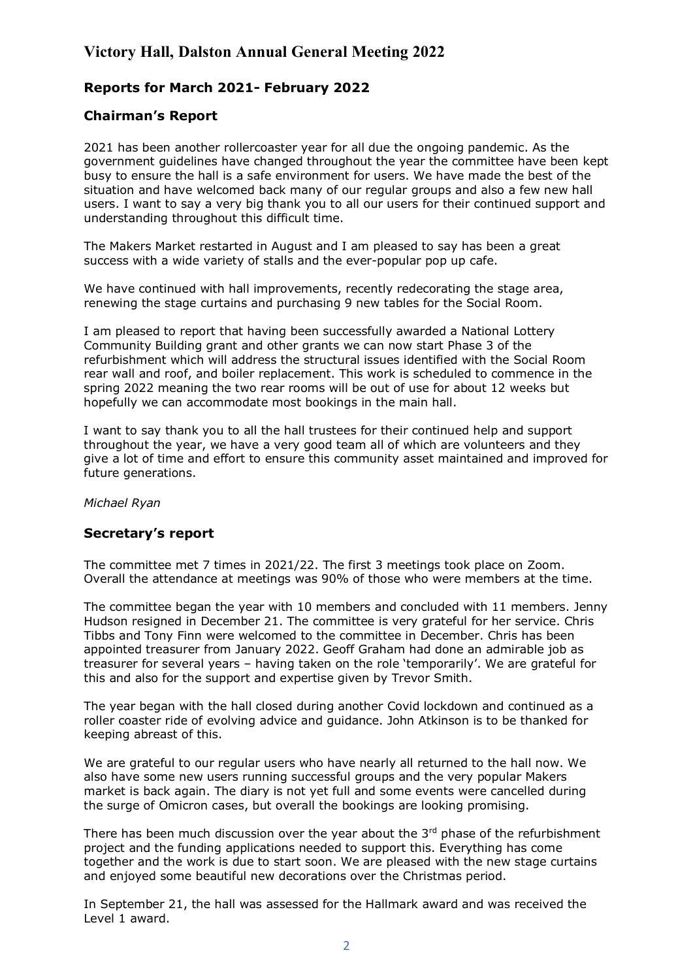# **Victory Hall, Dalston Annual General Meeting 2022**

## **Reports for March 2021- February 2022**

### **Chairman's Report**

2021 has been another rollercoaster year for all due the ongoing pandemic. As the government guidelines have changed throughout the year the committee have been kept busy to ensure the hall is a safe environment for users. We have made the best of the situation and have welcomed back many of our regular groups and also a few new hall users. I want to say a very big thank you to all our users for their continued support and understanding throughout this difficult time.

The Makers Market restarted in August and I am pleased to say has been a great success with a wide variety of stalls and the ever-popular pop up cafe.

We have continued with hall improvements, recently redecorating the stage area, renewing the stage curtains and purchasing 9 new tables for the Social Room.

I am pleased to report that having been successfully awarded a National Lottery Community Building grant and other grants we can now start Phase 3 of the refurbishment which will address the structural issues identified with the Social Room rear wall and roof, and boiler replacement. This work is scheduled to commence in the spring 2022 meaning the two rear rooms will be out of use for about 12 weeks but hopefully we can accommodate most bookings in the main hall.

I want to say thank you to all the hall trustees for their continued help and support throughout the year, we have a very good team all of which are volunteers and they give a lot of time and effort to ensure this community asset maintained and improved for future generations.

#### *Michael Ryan*

#### **Secretary's report**

The committee met 7 times in 2021/22. The first 3 meetings took place on Zoom. Overall the attendance at meetings was 90% of those who were members at the time.

The committee began the year with 10 members and concluded with 11 members. Jenny Hudson resigned in December 21. The committee is very grateful for her service. Chris Tibbs and Tony Finn were welcomed to the committee in December. Chris has been appointed treasurer from January 2022. Geoff Graham had done an admirable job as treasurer for several years – having taken on the role 'temporarily'. We are grateful for this and also for the support and expertise given by Trevor Smith.

The year began with the hall closed during another Covid lockdown and continued as a roller coaster ride of evolving advice and guidance. John Atkinson is to be thanked for keeping abreast of this.

We are grateful to our regular users who have nearly all returned to the hall now. We also have some new users running successful groups and the very popular Makers market is back again. The diary is not yet full and some events were cancelled during the surge of Omicron cases, but overall the bookings are looking promising.

There has been much discussion over the year about the  $3<sup>rd</sup>$  phase of the refurbishment project and the funding applications needed to support this. Everything has come together and the work is due to start soon. We are pleased with the new stage curtains and enjoyed some beautiful new decorations over the Christmas period.

In September 21, the hall was assessed for the Hallmark award and was received the Level 1 award.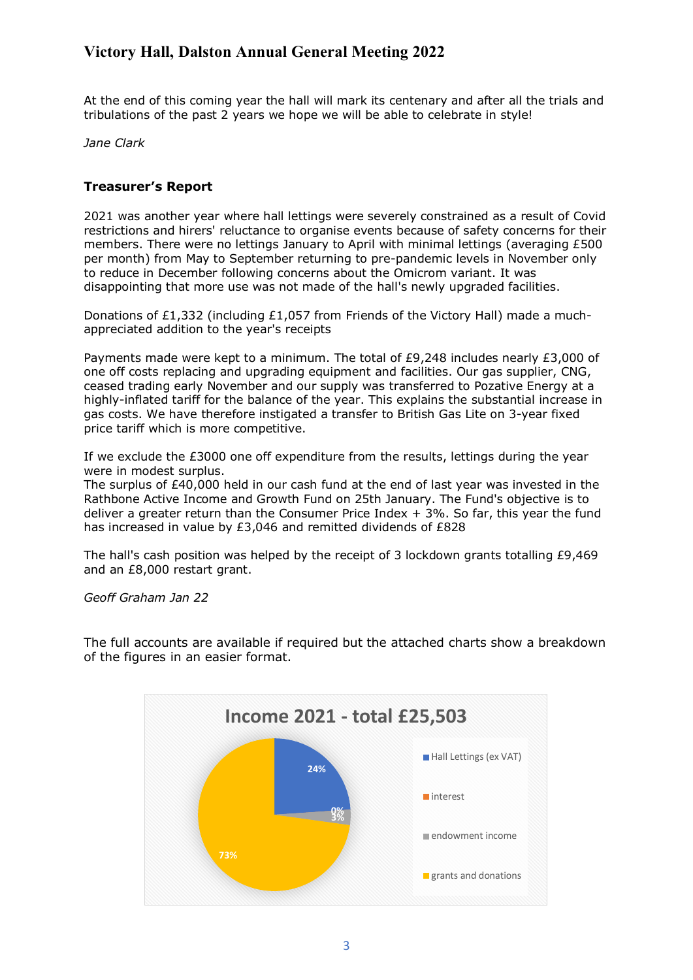# **Victory Hall, Dalston Annual General Meeting 2022**

At the end of this coming year the hall will mark its centenary and after all the trials and tribulations of the past 2 years we hope we will be able to celebrate in style!

*Jane Clark*

#### **Treasurer's Report**

2021 was another year where hall lettings were severely constrained as a result of Covid restrictions and hirers' reluctance to organise events because of safety concerns for their members. There were no lettings January to April with minimal lettings (averaging £500 per month) from May to September returning to pre-pandemic levels in November only to reduce in December following concerns about the Omicrom variant. It was disappointing that more use was not made of the hall's newly upgraded facilities.

Donations of £1,332 (including £1,057 from Friends of the Victory Hall) made a muchappreciated addition to the year's receipts

Payments made were kept to a minimum. The total of £9,248 includes nearly £3,000 of one off costs replacing and upgrading equipment and facilities. Our gas supplier, CNG, ceased trading early November and our supply was transferred to Pozative Energy at a highly-inflated tariff for the balance of the year. This explains the substantial increase in gas costs. We have therefore instigated a transfer to British Gas Lite on 3-year fixed price tariff which is more competitive.

If we exclude the £3000 one off expenditure from the results, lettings during the year were in modest surplus.

The surplus of £40,000 held in our cash fund at the end of last year was invested in the Rathbone Active Income and Growth Fund on 25th January. The Fund's objective is to deliver a greater return than the Consumer Price Index  $+$  3%. So far, this year the fund has increased in value by £3,046 and remitted dividends of £828

The hall's cash position was helped by the receipt of 3 lockdown grants totalling £9,469 and an £8,000 restart grant.

*Geoff Graham Jan 22*

The full accounts are available if required but the attached charts show a breakdown of the figures in an easier format.